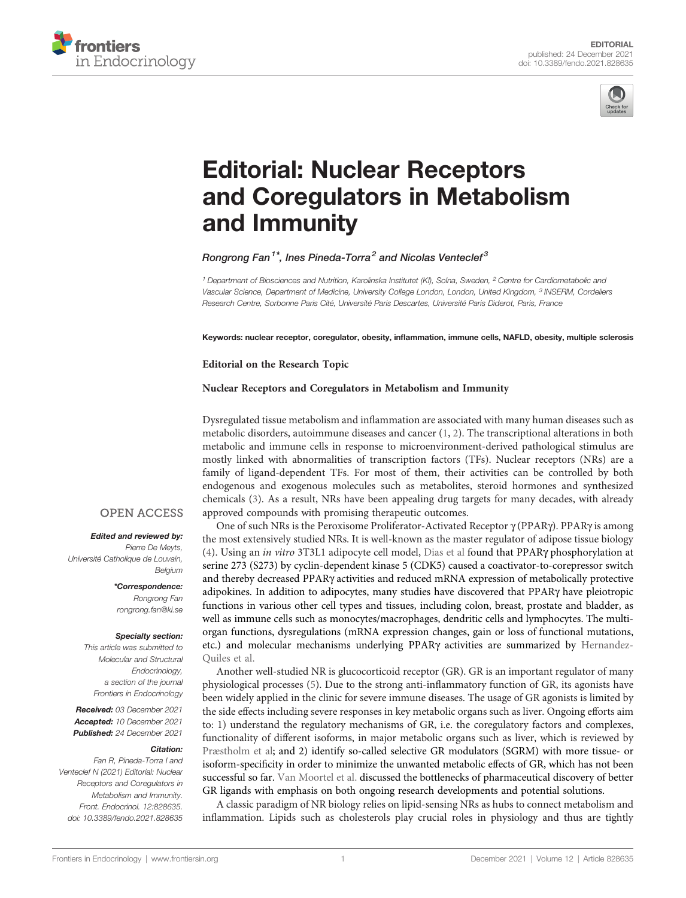



# [Editorial: Nuclear Receptors](https://www.frontiersin.org/articles/10.3389/fendo.2021.828635/full) [and Coregulators in Metabolism](https://www.frontiersin.org/articles/10.3389/fendo.2021.828635/full) [and Immunity](https://www.frontiersin.org/articles/10.3389/fendo.2021.828635/full)

### Rongrong Fan<sup>1\*</sup>, Ines Pineda-Torra<sup>2</sup> and Nicolas Venteclef<sup>3</sup>

<sup>1</sup> Department of Biosciences and Nutrition, Karolinska Institutet (KI), Solna, Sweden, <sup>2</sup> Centre for Cardiometabolic and Vascular Science, Department of Medicine, University College London, London, United Kingdom, <sup>3</sup> INSERM, Cordeliers Research Centre, Sorbonne Paris Cité, Université Paris Descartes, Université Paris Diderot, Paris, France

Keywords: nuclear receptor, coregulator, obesity, inflammation, immune cells, NAFLD, obesity, multiple sclerosis

### Editorial on the Research Topic

### [Nuclear Receptors and Coregulators in Metabolism and Immunity](https://www.frontiersin.org/research-topics/12546/nuclear-receptors-and-coregulators-in-metabolism-and-immunity)

Dysregulated tissue metabolism and inflammation are associated with many human diseases such as metabolic disorders, autoimmune diseases and cancer [\(1,](#page-2-0) [2\)](#page-2-0). The transcriptional alterations in both metabolic and immune cells in response to microenvironment-derived pathological stimulus are mostly linked with abnormalities of transcription factors (TFs). Nuclear receptors (NRs) are a family of ligand-dependent TFs. For most of them, their activities can be controlled by both endogenous and exogenous molecules such as metabolites, steroid hormones and synthesized chemicals [\(3\)](#page-2-0). As a result, NRs have been appealing drug targets for many decades, with already approved compounds with promising therapeutic outcomes.

One of such NRs is the Peroxisome Proliferator-Activated Receptor  $\gamma$  (PPAR $\gamma$ ). PPAR $\gamma$  is among the most extensively studied NRs. It is well-known as the master regulator of adipose tissue biology [\(4\)](#page-2-0). Using an in vitro 3T3L1 adipocyte cell model, [Dias et al](https://doi.org/10.3389/fendo.2020.561256) found that PPARg phosphorylation at serine 273 (S273) by cyclin-dependent kinase 5 (CDK5) caused a coactivator-to-corepressor switch and thereby decreased PPARg activities and reduced mRNA expression of metabolically protective adipokines. In addition to adipocytes, many studies have discovered that PPARg have pleiotropic functions in various other cell types and tissues, including colon, breast, prostate and bladder, as well as immune cells such as monocytes/macrophages, dendritic cells and lymphocytes. The multiorgan functions, dysregulations (mRNA expression changes, gain or loss of functional mutations, etc.) and molecular mechanisms underlying PPARg activities are summarized by [Hernandez-](https://doi.org/10.3389/fendo.2021.624112)[Quiles et al.](https://doi.org/10.3389/fendo.2021.624112)

Another well-studied NR is glucocorticoid receptor (GR). GR is an important regulator of many physiological processes [\(5\)](#page-2-0). Due to the strong anti-inflammatory function of GR, its agonists have been widely applied in the clinic for severe immune diseases. The usage of GR agonists is limited by the side effects including severe responses in key metabolic organs such as liver. Ongoing efforts aim to: 1) understand the regulatory mechanisms of GR, i.e. the coregulatory factors and complexes, functionality of different isoforms, in major metabolic organs such as liver, which is reviewed by [Præstholm et al;](https://doi.org/10.3389/fendo.2020.572981) and 2) identify so-called selective GR modulators (SGRM) with more tissue- or isoform-specificity in order to minimize the unwanted metabolic effects of GR, which has not been successful so far. [Van Moortel et al.](https://doi.org/10.3389/fendo.2020.559673) discussed the bottlenecks of pharmaceutical discovery of better GR ligands with emphasis on both ongoing research developments and potential solutions.

A classic paradigm of NR biology relies on lipid-sensing NRs as hubs to connect metabolism and inflammation. Lipids such as cholesterols play crucial roles in physiology and thus are tightly

### **OPEN ACCESS**

#### Edited and reviewed by:

Pierre De Meyts, Université Catholique de Louvain, Belgium

> \*Correspondence: Rongrong Fan [rongrong.fan@ki.se](mailto:rongrong.fan@ki.se)

#### Specialty section:

This article was submitted to Molecular and Structural Endocrinology, a section of the journal Frontiers in Endocrinology

Received: 03 December 2021 Accepted: 10 December 2021 Published: 24 December 2021

#### Citation:

Fan R, Pineda-Torra I and Venteclef N (2021) Editorial: Nuclear Receptors and Coregulators in Metabolism and Immunity. Front. Endocrinol. 12:828635. [doi: 10.3389/fendo.2021.828635](https://doi.org/10.3389/fendo.2021.828635)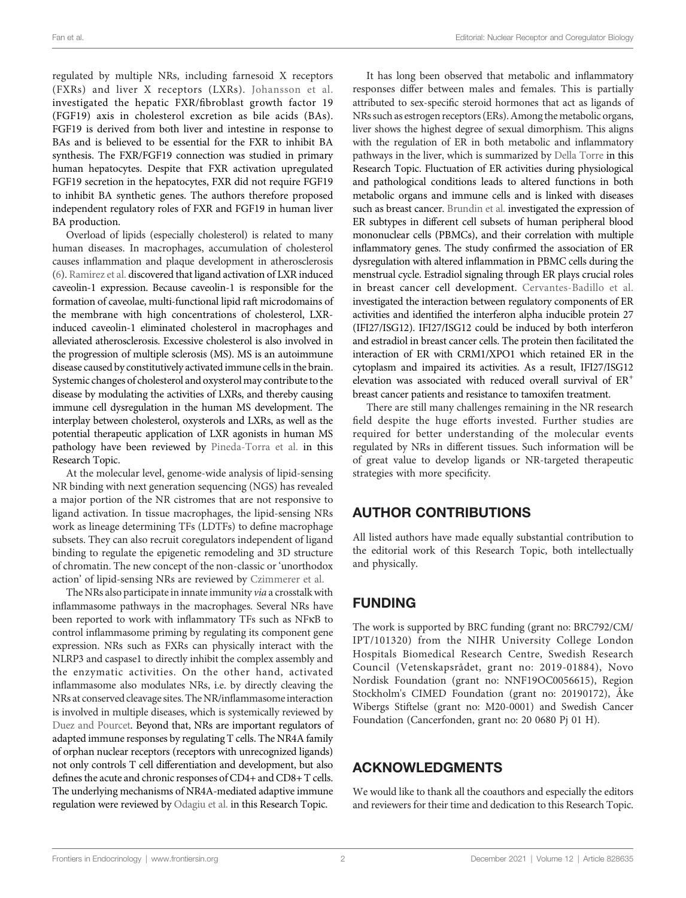regulated by multiple NRs, including farnesoid X receptors (FXRs) and liver X receptors (LXRs). [Johansson et al.](https://doi.org/10.3389/fendo.2020.554922) investigated the hepatic FXR/fibroblast growth factor 19 (FGF19) axis in cholesterol excretion as bile acids (BAs). FGF19 is derived from both liver and intestine in response to BAs and is believed to be essential for the FXR to inhibit BA synthesis. The FXR/FGF19 connection was studied in primary human hepatocytes. Despite that FXR activation upregulated FGF19 secretion in the hepatocytes, FXR did not require FGF19 to inhibit BA synthetic genes. The authors therefore proposed independent regulatory roles of FXR and FGF19 in human liver BA production.

Overload of lipids (especially cholesterol) is related to many human diseases. In macrophages, accumulation of cholesterol causes inflammation and plaque development in atherosclerosis ([6\)](#page-2-0). Rami[rez et al.](https://doi.org/10.3389/fendo.2021.635923) discovered that ligand activation of LXR induced caveolin-1 expression. Because caveolin-1 is responsible for the formation of caveolae, multi-functional lipid raft microdomains of the membrane with high concentrations of cholesterol, LXRinduced caveolin-1 eliminated cholesterol in macrophages and alleviated atherosclerosis. Excessive cholesterol is also involved in the progression of multiple sclerosis (MS). MS is an autoimmune disease caused by constitutively activated immune cells in the brain. Systemic changes of cholesterol and oxysterol may contribute to the disease by modulating the activities of LXRs, and thereby causing immune cell dysregulation in the human MS development. The interplay between cholesterol, oxysterols and LXRs, as well as the potential therapeutic application of LXR agonists in human MS pathology have been reviewed by [Pineda-Torra et al.](https://doi.org/10.3389/fendo.2021.639757) in this Research Topic.

At the molecular level, genome-wide analysis of lipid-sensing NR binding with next generation sequencing (NGS) has revealed a major portion of the NR cistromes that are not responsive to ligand activation. In tissue macrophages, the lipid-sensing NRs work as lineage determining TFs (LDTFs) to define macrophage subsets. They can also recruit coregulators independent of ligand binding to regulate the epigenetic remodeling and 3D structure of chromatin. The new concept of the non-classic or 'unorthodox action' of lipid-sensing NRs are reviewed by [Czimmerer et al.](https://doi.org/10.3389/fendo.2020.609099)

The NRs also participate in innate immunity via a crosstalk with inflammasome pathways in the macrophages. Several NRs have been reported to work with inflammatory TFs such as NFkB to control inflammasome priming by regulating its component gene expression. NRs such as FXRs can physically interact with the NLRP3 and caspase1 to directly inhibit the complex assembly and the enzymatic activities. On the other hand, activated inflammasome also modulates NRs, i.e. by directly cleaving the NRs at conserved cleavage sites. The NR/inflammasome interaction is involved in multiple diseases, which is systemically reviewed by [Duez and Pourcet](https://doi.org/10.3389/fendo.2021.630536). Beyond that, NRs are important regulators of adapted immune responses by regulating T cells. The NR4A family of orphan nuclear receptors (receptors with unrecognized ligands) not only controls T cell differentiation and development, but also defines the acute and chronic responses of CD4+ and CD8+ T cells. The underlying mechanisms of NR4A-mediated adaptive immune regulation were reviewed by [Odagiu et al.](https://doi.org/10.3389/fendo.2020.624122) in this Research Topic.

It has long been observed that metabolic and inflammatory responses differ between males and females. This is partially attributed to sex-specific steroid hormones that act as ligands of NRs such as estrogen receptors (ERs).Among the metabolic organs, liver shows the highest degree of sexual dimorphism. This aligns with the regulation of ER in both metabolic and inflammatory pathways in the liver, which is summarized by [Della Torre](https://doi.org/10.3389/fendo.2020.572490) in this Research Topic. Fluctuation of ER activities during physiological and pathological conditions leads to altered functions in both metabolic organs and immune cells and is linked with diseases such as breast cancer. [Brundin et al.](https://doi.org/10.3389/fendo.2021.721813) investigated the expression of ER subtypes in different cell subsets of human peripheral blood mononuclear cells (PBMCs), and their correlation with multiple inflammatory genes. The study confirmed the association of ER dysregulation with altered inflammation in PBMC cells during the menstrual cycle. Estradiol signaling through ER plays crucial roles in breast cancer cell development. [Cervantes-Badillo et al.](https://doi.org/10.3389/fendo.2020.568375) investigated the interaction between regulatory components of ER activities and identified the interferon alpha inducible protein 27 (IFI27/ISG12). IFI27/ISG12 could be induced by both interferon and estradiol in breast cancer cells. The protein then facilitated the interaction of ER with CRM1/XPO1 which retained ER in the cytoplasm and impaired its activities. As a result, IFI27/ISG12 elevation was associated with reduced overall survival of ER+ breast cancer patients and resistance to tamoxifen treatment.

There are still many challenges remaining in the NR research field despite the huge efforts invested. Further studies are required for better understanding of the molecular events regulated by NRs in different tissues. Such information will be of great value to develop ligands or NR-targeted therapeutic strategies with more specificity.

# AUTHOR CONTRIBUTIONS

All listed authors have made equally substantial contribution to the editorial work of this Research Topic, both intellectually and physically.

# FUNDING

The work is supported by BRC funding (grant no: BRC792/CM/ IPT/101320) from the NIHR University College London Hospitals Biomedical Research Centre, Swedish Research Council (Vetenskapsrådet, grant no: 2019-01884), Novo Nordisk Foundation (grant no: NNF19OC0056615), Region Stockholm's CIMED Foundation (grant no: 20190172), Åke Wibergs Stiftelse (grant no: M20-0001) and Swedish Cancer Foundation (Cancerfonden, grant no: 20 0680 Pj 01 H).

# ACKNOWLEDGMENTS

We would like to thank all the coauthors and especially the editors and reviewers for their time and dedication to this Research Topic.